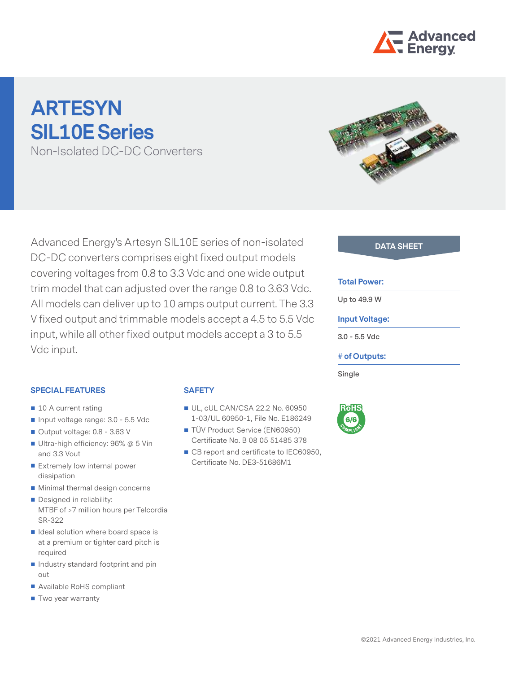

# **ARTESYN SIL10E Series**

Non-Isolated DC-DC Converters

Advanced Energy's Artesyn SIL10E series of non-isolated DC-DC converters comprises eight fixed output models covering voltages from 0.8 to 3.3 Vdc and one wide output trim model that can adjusted over the range 0.8 to 3.63 Vdc. All models can deliver up to 10 amps output current. The 3.3 V fixed output and trimmable models accept a 4.5 to 5.5 Vdc input, while all other fixed output models accept a 3 to 5.5 Vdc input.

**SPECIAL FEATURES**

- 10 A current rating
- Input voltage range: 3.0 5.5 Vdc
- Output voltage: 0.8 3.63 V
- Ultra-high efficiency: 96% @ 5 Vin and 3.3 Vout
- Extremely low internal power dissipation
- **Minimal thermal design concerns**
- Designed in reliability: MTBF of >7 million hours per Telcordia SR-322
- $\blacksquare$  Ideal solution where board space is at a premium or tighter card pitch is required
- Industry standard footprint and pin out
- Available RoHS compliant
- Two year warranty

## **SAFETY**

- UL, cUL CAN/CSA 22.2 No. 60950 1-03/UL 60950-1, File No. E186249
- TÜV Product Service (EN60950) Certificate No. B 08 05 51485 378
- CB report and certificate to IEC60950, Certificate No. DE3-51686M1



#### **DATA SHEET**

#### **Total Power:**

**Up to 49.9 W**

#### **Input Voltage:**

**3.0 - 5.5 Vdc**

#### **# of Outputs:**

**Single**

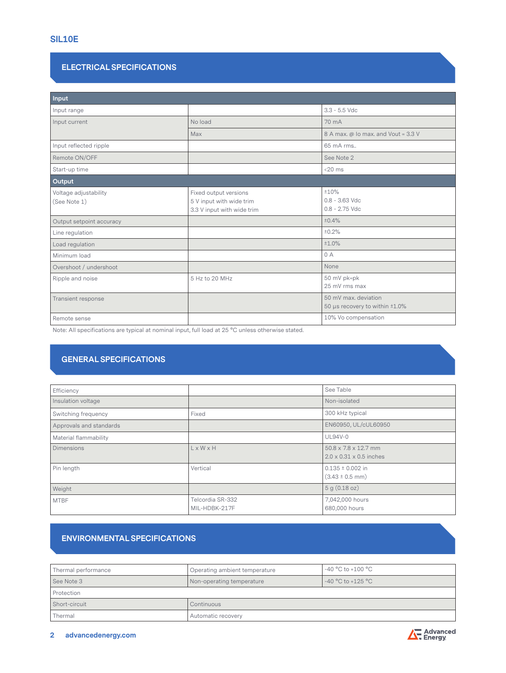## **ELECTRICAL SPECIFICATIONS**

| Input                                 |                                                                                 |                                                        |  |  |  |
|---------------------------------------|---------------------------------------------------------------------------------|--------------------------------------------------------|--|--|--|
| Input range                           |                                                                                 | $3.3 - 5.5$ Vdc                                        |  |  |  |
| Input current                         | No load                                                                         | 70 mA                                                  |  |  |  |
|                                       | Max                                                                             | 8 A max. @ Io max. and Vout = 3.3 V                    |  |  |  |
| Input reflected ripple                |                                                                                 | 65 mA rms                                              |  |  |  |
| Remote ON/OFF                         |                                                                                 | See Note 2                                             |  |  |  |
| Start-up time                         |                                                                                 | $<$ 20 $ms$                                            |  |  |  |
| Output                                |                                                                                 |                                                        |  |  |  |
| Voltage adjustability<br>(See Note 1) | Fixed output versions<br>5 V input with wide trim<br>3.3 V input with wide trim | ±10%<br>$0.8 - 3.63$ Vdc<br>$0.8 - 2.75$ Vdc           |  |  |  |
| Output setpoint accuracy              |                                                                                 | ±0.4%                                                  |  |  |  |
| Line regulation                       |                                                                                 | ±0.2%                                                  |  |  |  |
| Load regulation                       |                                                                                 | ±1.0%                                                  |  |  |  |
| Minimum load                          |                                                                                 | 0A                                                     |  |  |  |
| Overshoot / undershoot                |                                                                                 | None                                                   |  |  |  |
| Ripple and noise                      | 5 Hz to 20 MHz                                                                  | 50 mV pk=pk<br>25 mV rms max                           |  |  |  |
| Transient response                    |                                                                                 | 50 mV max, deviation<br>50 µs recovery to within ±1.0% |  |  |  |
| Remote sense                          |                                                                                 | 10% Vo compensation                                    |  |  |  |

Note: All specifications are typical at nominal input, full load at 25 °C unless otherwise stated.

## **GENERAL SPECIFICATIONS**

| Efficiency              |                                   | See Table                                                               |
|-------------------------|-----------------------------------|-------------------------------------------------------------------------|
| Insulation voltage      |                                   | Non-isolated                                                            |
| Switching frequency     | Fixed                             | 300 kHz typical                                                         |
| Approvals and standards |                                   | EN60950, UL/cUL60950                                                    |
| Material flammability   |                                   | <b>UL94V-0</b>                                                          |
| <b>Dimensions</b>       | $L \times W \times H$             | $50.8 \times 7.8 \times 12.7$ mm<br>$2.0 \times 0.31 \times 0.5$ inches |
| Pin length              | Vertical                          | $0.135 \pm 0.002$ in<br>$(3.43 \pm 0.5$ mm)                             |
| Weight                  |                                   | 5 g (0.18 oz)                                                           |
| <b>MTBF</b>             | Telcordia SR-332<br>MIL-HDBK-217F | 7,042,000 hours<br>680,000 hours                                        |

# **ENVIRONMENTAL SPECIFICATIONS**

| Thermal performance | Operating ambient temperature | -40 °C to +100 °C |  |
|---------------------|-------------------------------|-------------------|--|
| See Note 3          | Non-operating temperature     | -40 °C to +125 °C |  |
| Protection          |                               |                   |  |
| Short-circuit       | Continuous                    |                   |  |
| Thermal             | Automatic recovery            |                   |  |

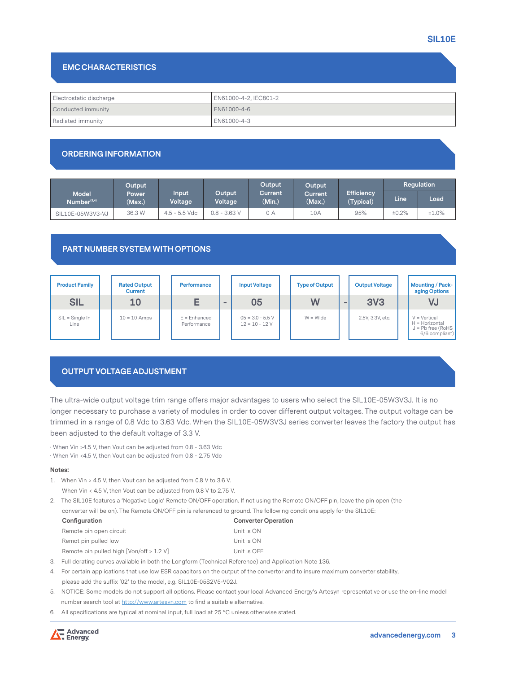#### **EMC CHARACTERISTICS**

| Electrostatic discharge | EN61000-4-2. IEC801-2 |
|-------------------------|-----------------------|
| Conducted immunity      | LEN61000-4-6          |
| Radiated immunity       | EN61000-4-3           |

## **ORDERING INFORMATION**

|                                         | Output                 |                  |                          | Output            | Output                   |                                | Regulation |       |  |
|-----------------------------------------|------------------------|------------------|--------------------------|-------------------|--------------------------|--------------------------------|------------|-------|--|
| <b>Model</b><br>Number <sup>(3,4)</sup> | <b>Power</b><br>(Max.) | Input<br>Voltage | Output<br><b>Voltage</b> | Current<br>(Min.) | <b>Current</b><br>(Max.) | <b>Efficiency</b><br>(Typical) | Line       | Load  |  |
| SIL10E-05W3V3-VJ                        | 36.3 W                 | 4.5 - 5.5 Vdc    | $0.8 - 3.63$ V           | 0 A               | 10A                      | 95%                            | ±0.2%      | ±1.0% |  |

## **PART NUMBER SYSTEM WITH OPTIONS**

| <b>Product Family</b>     | <b>Rated Output</b><br><b>Current</b> | <b>Performance</b>            |          | <b>Input Voltage</b>                   | <b>Type of Output</b> |          | <b>Output Voltage</b> | <b>Mounting / Pack-</b><br>aging Options                                  |
|---------------------------|---------------------------------------|-------------------------------|----------|----------------------------------------|-----------------------|----------|-----------------------|---------------------------------------------------------------------------|
| <b>SIL</b>                | 10                                    |                               | $\equiv$ | 05                                     | W                     | $\equiv$ | <b>3V3</b>            | VJ                                                                        |
| $SIL = Single In$<br>Line | $10 = 10$ Amps                        | $E =$ Enhanced<br>Performance |          | $05 = 3.0 - 5.5 V$<br>$12 = 10 - 12$ V | $W = Wide$            |          | 2.5V, 3.3V, etc.      | $V = Vertical$<br>H = Horizontal<br>$J = Pb$ free (RoHS<br>6/6 compliant) |

## **OUTPUT VOLTAGE ADJUSTMENT**

The ultra-wide output voltage trim range offers major advantages to users who select the SIL10E-05W3V3J. It is no longer necessary to purchase a variety of modules in order to cover different output voltages. The output voltage can be trimmed in a range of 0.8 Vdc to 3.63 Vdc. When the SIL10E-05W3V3J series converter leaves the factory the output has been adjusted to the default voltage of 3.3 V.

· When Vin >4.5 V, then Vout can be adjusted from 0.8 - 3.63 Vdc

· When Vin <4.5 V, then Vout can be adjusted from 0.8 - 2.75 Vdc

#### **Notes:**

1. When Vin > 4.5 V, then Vout can be adjusted from 0.8 V to 3.6 V. When Vin < 4.5 V, then Vout can be adjusted from 0.8 V to 2.75 V.

2. The SIL10E features a 'Negative Logic' Remote ON/OFF operation. If not using the Remote ON/OFF pin, leave the pin open (the converter will be on). The Remote ON/OFF pin is referenced to ground. The following conditions apply for the SIL10E:

| Configuration                              | <b>Converter Operation</b> |
|--------------------------------------------|----------------------------|
| Remote pin open circuit                    | Unit is ON                 |
| Remot pin pulled low                       | Unit is ON                 |
| Remote pin pulled high $[Van/off > 1.2 V]$ | Unit is OFF                |

- 3. Full derating curves available in both the Longform (Technical Reference) and Application Note 136.
- 4. For certain applications that use low ESR capacitors on the output of the convertor and to insure maximum converter stability, please add the suffix '02' to the model, e.g. SIL10E-05S2V5-V02J.
- 5. NOTICE: Some models do not support all options. Please contact your local Advanced Energy's Artesyn representative or use the on-line model number search tool at http://www.artesyn.com to find a suitable alternative.
- 6. All specifications are typical at nominal input, full load at 25 °C unless otherwise stated.

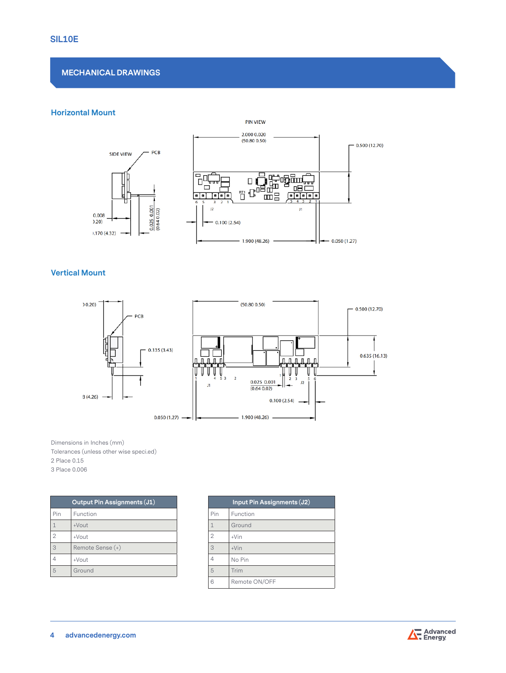## **MECHANICAL DRAWINGS**

#### **Horizontal Mount**



#### **Vertical Mount**



Dimensions in Inches (mm) Tolerances (unless other wise speci.ed) 2 Place 0.15 3 Place 0.006

|                | Output Pin Assignments (J1) |
|----------------|-----------------------------|
| Pin            | Function                    |
| 1              | $+V$ out                    |
| $\overline{2}$ | +Vout                       |
| 3              | Remote Sense (+)            |
|                | +Vout                       |
| 5              | Ground                      |

|                | Input Pin Assignments (J2) |
|----------------|----------------------------|
| Pin            | Function                   |
| 1              | Ground                     |
| $\overline{2}$ | $+V$ in                    |
| 3              | $+V$ in                    |
| 4              | No Pin                     |
| 5              | Trim                       |
| 6              | Remote ON/OFF              |